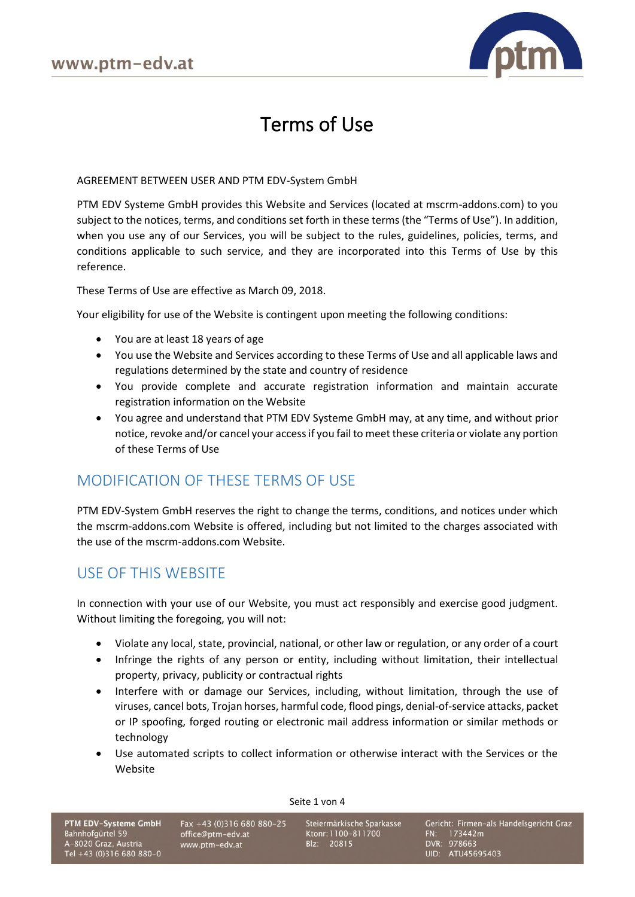

# Terms of Use

#### AGREEMENT BETWEEN USER AND PTM EDV-System GmbH

PTM EDV Systeme GmbH provides this Website and Services (located at mscrm-addons.com) to you subject to the notices, terms, and conditions set forth in these terms (the "Terms of Use"). In addition, when you use any of our Services, you will be subject to the rules, guidelines, policies, terms, and conditions applicable to such service, and they are incorporated into this Terms of Use by this reference.

These Terms of Use are effective as March 09, 2018.

Your eligibility for use of the Website is contingent upon meeting the following conditions:

- You are at least 18 years of age
- You use the Website and Services according to these Terms of Use and all applicable laws and regulations determined by the state and country of residence
- You provide complete and accurate registration information and maintain accurate registration information on the Website
- You agree and understand that PTM EDV Systeme GmbH may, at any time, and without prior notice, revoke and/or cancel your access if you fail to meet these criteria or violate any portion of these Terms of Use

# MODIFICATION OF THESE TERMS OF USE

PTM EDV-System GmbH reserves the right to change the terms, conditions, and notices under which the mscrm-addons.com Website is offered, including but not limited to the charges associated with the use of the mscrm-addons.com Website.

## USE OF THIS WEBSITE

In connection with your use of our Website, you must act responsibly and exercise good judgment. Without limiting the foregoing, you will not:

- Violate any local, state, provincial, national, or other law or regulation, or any order of a court
- Infringe the rights of any person or entity, including without limitation, their intellectual property, privacy, publicity or contractual rights
- Interfere with or damage our Services, including, without limitation, through the use of viruses, cancel bots, Trojan horses, harmful code, flood pings, denial-of-service attacks, packet or IP spoofing, forged routing or electronic mail address information or similar methods or technology
- Use automated scripts to collect information or otherwise interact with the Services or the Website

Seite 1 von 4

PTM EDV-Systeme GmbH Bahnhofgürtel 59 

Fax +43 (0)316 680 880-25 office@ptm-edv.at www.ptm-edv.at

Steiermärkische Sparkasse Ktonr: 1100-811700 Blz: 20815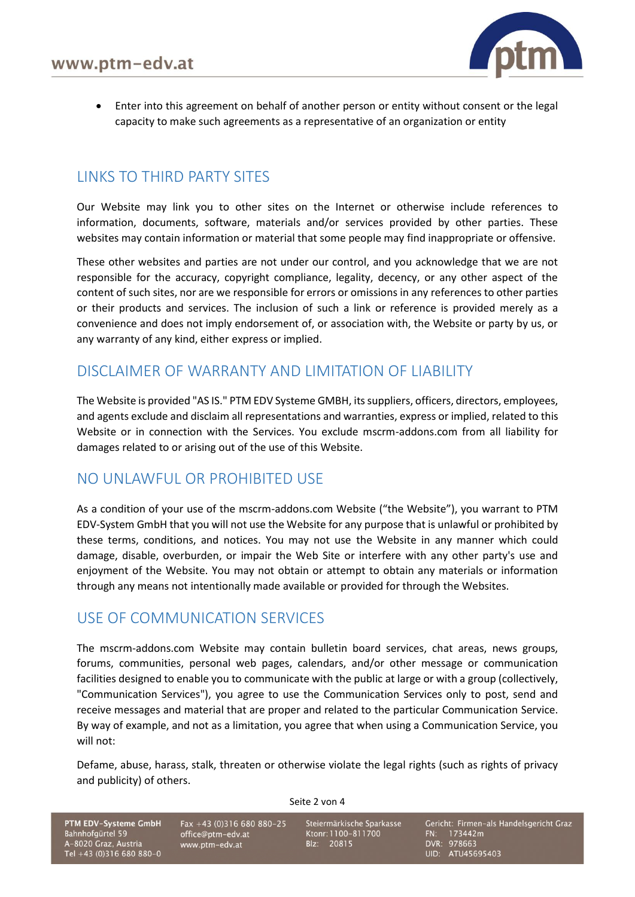

• Enter into this agreement on behalf of another person or entity without consent or the legal capacity to make such agreements as a representative of an organization or entity

## LINKS TO THIRD PARTY SITES

Our Website may link you to other sites on the Internet or otherwise include references to information, documents, software, materials and/or services provided by other parties. These websites may contain information or material that some people may find inappropriate or offensive.

These other websites and parties are not under our control, and you acknowledge that we are not responsible for the accuracy, copyright compliance, legality, decency, or any other aspect of the content of such sites, nor are we responsible for errors or omissions in any references to other parties or their products and services. The inclusion of such a link or reference is provided merely as a convenience and does not imply endorsement of, or association with, the Website or party by us, or any warranty of any kind, either express or implied.

## DISCLAIMER OF WARRANTY AND LIMITATION OF LIABILITY

The Website is provided "AS IS." PTM EDV Systeme GMBH, its suppliers, officers, directors, employees, and agents exclude and disclaim all representations and warranties, express or implied, related to this Website or in connection with the Services. You exclude mscrm-addons.com from all liability for damages related to or arising out of the use of this Website.

## NO UNLAWFUL OR PROHIBITED USE

As a condition of your use of the mscrm-addons.com Website ("the Website"), you warrant to PTM EDV-System GmbH that you will not use the Website for any purpose that is unlawful or prohibited by these terms, conditions, and notices. You may not use the Website in any manner which could damage, disable, overburden, or impair the Web Site or interfere with any other party's use and enjoyment of the Website. You may not obtain or attempt to obtain any materials or information through any means not intentionally made available or provided for through the Websites.

#### USE OF COMMUNICATION SERVICES

The mscrm-addons.com Website may contain bulletin board services, chat areas, news groups, forums, communities, personal web pages, calendars, and/or other message or communication facilities designed to enable you to communicate with the public at large or with a group (collectively, "Communication Services"), you agree to use the Communication Services only to post, send and receive messages and material that are proper and related to the particular Communication Service. By way of example, and not as a limitation, you agree that when using a Communication Service, you will not:

Defame, abuse, harass, stalk, threaten or otherwise violate the legal rights (such as rights of privacy and publicity) of others.

Seite 2 von 4

PTM EDV-Systeme GmbH Bahnhofgürtel 59 A-8020 Graz, Austria<br>Tel +43 (0)316 680 880-0

Fax +43 (0)316 680 880-25 office@ptm-edv.at www.ptm-edv.at

Steiermärkische Sparkasse Ktonr: 1100-811700 Blz: 20815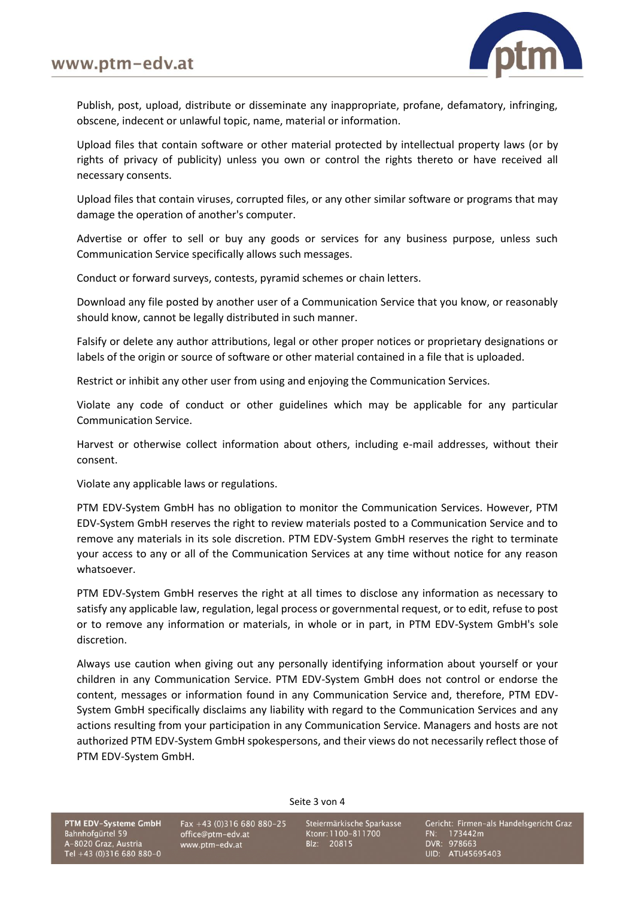

Publish, post, upload, distribute or disseminate any inappropriate, profane, defamatory, infringing, obscene, indecent or unlawful topic, name, material or information.

Upload files that contain software or other material protected by intellectual property laws (or by rights of privacy of publicity) unless you own or control the rights thereto or have received all necessary consents.

Upload files that contain viruses, corrupted files, or any other similar software or programs that may damage the operation of another's computer.

Advertise or offer to sell or buy any goods or services for any business purpose, unless such Communication Service specifically allows such messages.

Conduct or forward surveys, contests, pyramid schemes or chain letters.

Download any file posted by another user of a Communication Service that you know, or reasonably should know, cannot be legally distributed in such manner.

Falsify or delete any author attributions, legal or other proper notices or proprietary designations or labels of the origin or source of software or other material contained in a file that is uploaded.

Restrict or inhibit any other user from using and enjoying the Communication Services.

Violate any code of conduct or other guidelines which may be applicable for any particular Communication Service.

Harvest or otherwise collect information about others, including e-mail addresses, without their consent.

Violate any applicable laws or regulations.

PTM EDV-System GmbH has no obligation to monitor the Communication Services. However, PTM EDV-System GmbH reserves the right to review materials posted to a Communication Service and to remove any materials in its sole discretion. PTM EDV-System GmbH reserves the right to terminate your access to any or all of the Communication Services at any time without notice for any reason whatsoever.

PTM EDV-System GmbH reserves the right at all times to disclose any information as necessary to satisfy any applicable law, regulation, legal process or governmental request, or to edit, refuse to post or to remove any information or materials, in whole or in part, in PTM EDV-System GmbH's sole discretion.

Always use caution when giving out any personally identifying information about yourself or your children in any Communication Service. PTM EDV-System GmbH does not control or endorse the content, messages or information found in any Communication Service and, therefore, PTM EDV-System GmbH specifically disclaims any liability with regard to the Communication Services and any actions resulting from your participation in any Communication Service. Managers and hosts are not authorized PTM EDV-System GmbH spokespersons, and their views do not necessarily reflect those of PTM EDV-System GmbH.

Seite 3 von 4

PTM EDV-Systeme GmbH Bahnhofgürtel 59 A-8020 Graz, Austria<br>Tel +43 (0)316 680 880-0

Fax +43 (0)316 680 880-25 office@ptm-edv.at www.ptm-edv.at

Steiermärkische Sparkasse Ktonr: 1100-811700 Blz: 20815